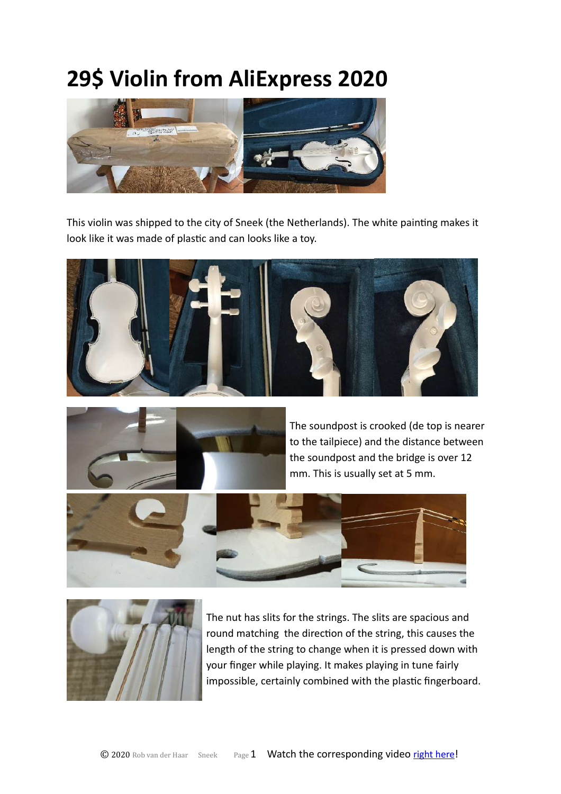# **29\$ Violin from AliExpress 2020**



This violin was shipped to the city of Sneek (the Netherlands). The white painting makes it look like it was made of plastic and can looks like a toy.





The soundpost is crooked (de top is nearer to the tailpiece) and the distance between the soundpost and the bridge is over 12 mm. This is usually set at 5 mm.





The nut has slits for the strings. The slits are spacious and round matching the direction of the string, this causes the length of the string to change when it is pressed down with your finger while playing. It makes playing in tune fairly impossible, certainly combined with the plastic fingerboard.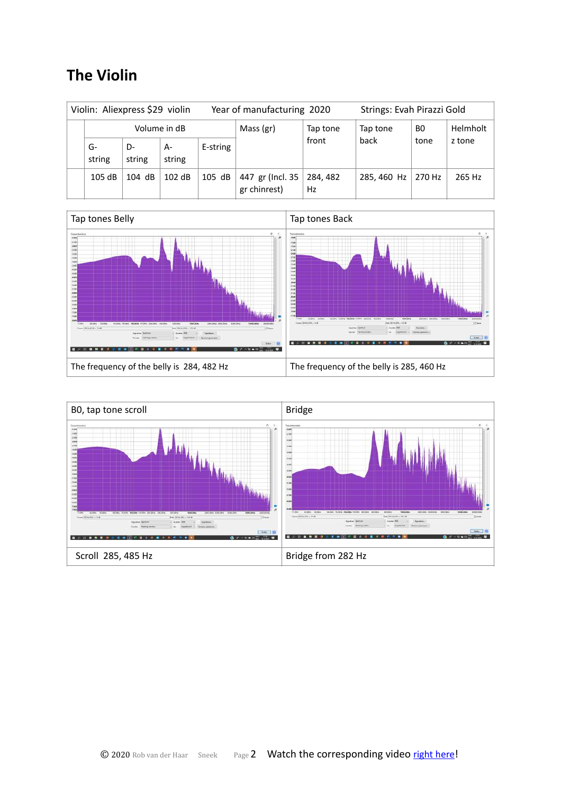# **The Violin**

| Violin: Aliexpress \$29 violin |                |              |              |          | Year of manufacturing 2020       |                | Strings: Evah Pirazzi Gold |        |          |
|--------------------------------|----------------|--------------|--------------|----------|----------------------------------|----------------|----------------------------|--------|----------|
|                                | Volume in dB   |              |              |          | Mass (gr)                        | Tap tone       | Tap tone                   | BO.    | Helmholt |
|                                | $G-$<br>string | D-<br>string | A-<br>string | E-string |                                  | front          | back                       | tone   | z tone   |
|                                | 105 dB         | 104 dB       | 102 dB       | 105 dB   | 447 gr (Incl. 35<br>gr chinrest) | 284, 482<br>Hz | 285, 460 Hz                | 270 Hz | 265 Hz   |



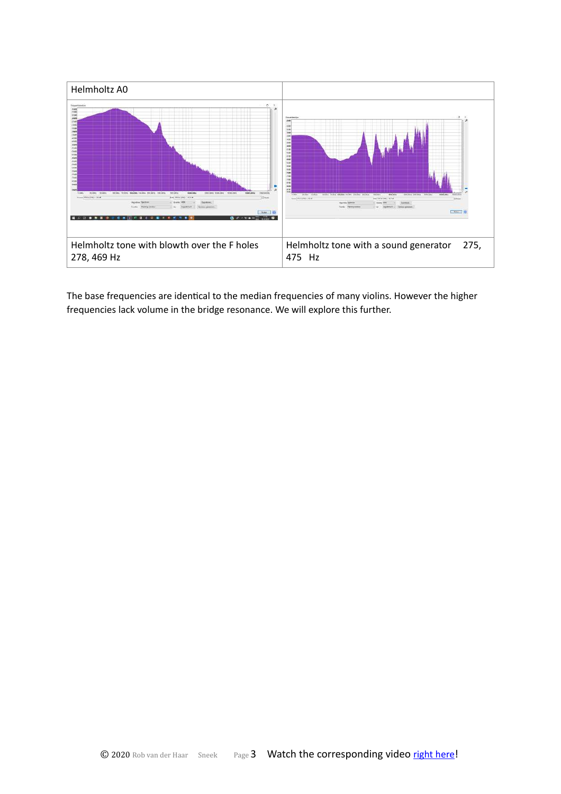

The base frequencies are identical to the median frequencies of many violins. However the higher frequencies lack volume in the bridge resonance. We will explore this further.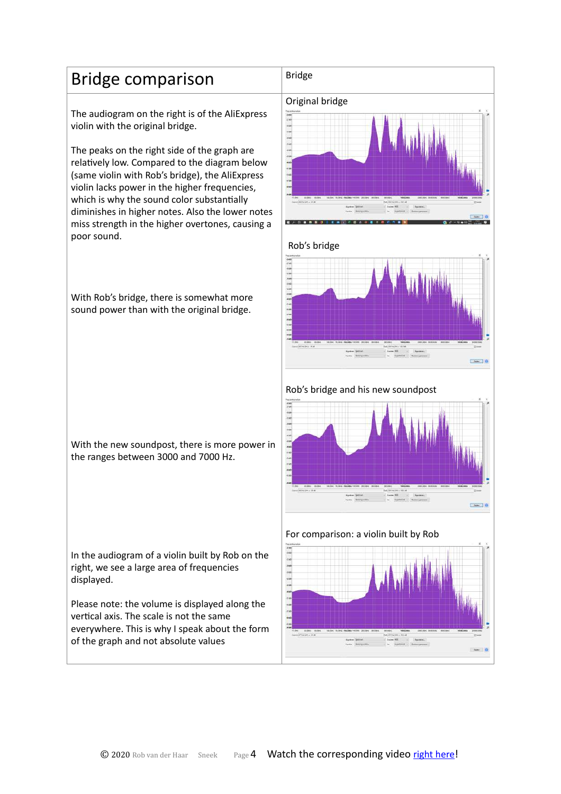# Bridge comparison  $\vert$ <sup>Bridge</sup>

The audiogram on the right is of the AliExpress violin with the original bridge.

The peaks on the right side of the graph are relatively low. Compared to the diagram below (same violin with Rob's bridge), the AliExpress violin lacks power in the higher frequencies, which is why the sound color substantially diminishes in higher notes. Also the lower notes miss strength in the higher overtones, causing a poor sound.

With Rob's bridge, there is somewhat more sound power than with the original bridge.

With the new soundpost, there is more power in the ranges between 3000 and 7000 Hz.

In the audiogram of a violin built by Rob on the right, we see a large area of frequencies displayed.

Please note: the volume is displayed along the vertical axis. The scale is not the same everywhere. This is why I speak about the form of the graph and not absolute values

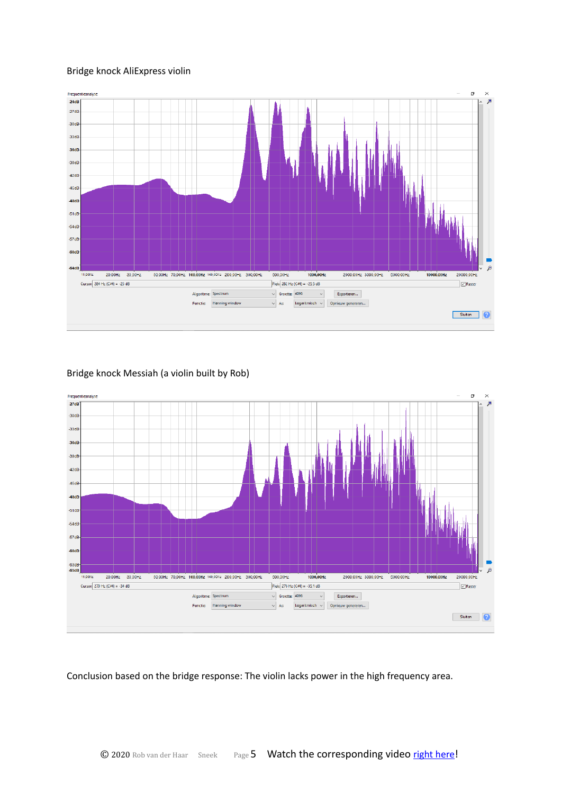#### Bridge knock AliExpress violin





#### Bridge knock Messiah (a violin built by Rob)

Conclusion based on the bridge response: The violin lacks power in the high frequency area.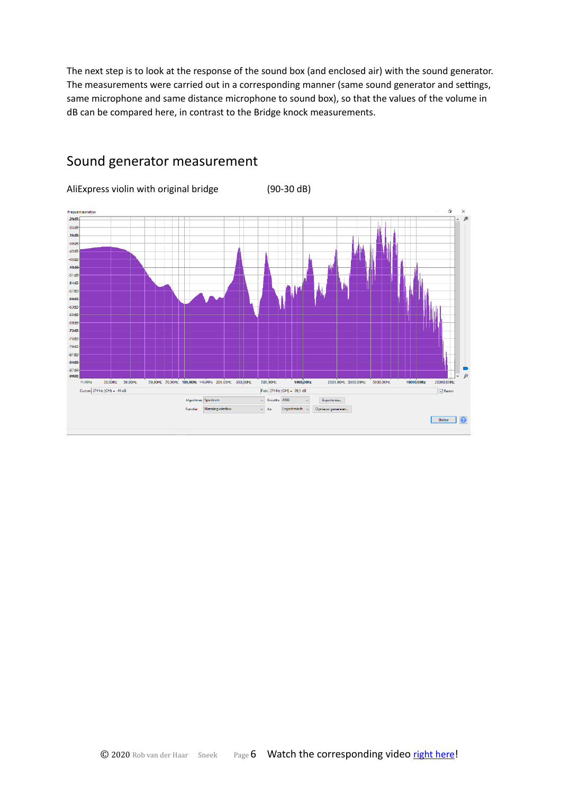The next step is to look at the response of the sound box (and enclosed air) with the sound generator. The measurements were carried out in a corresponding manner (same sound generator and settings, same microphone and same distance microphone to sound box), so that the values of the volume in dB can be compared here, in contrast to the Bridge knock measurements.



## Sound generator measurement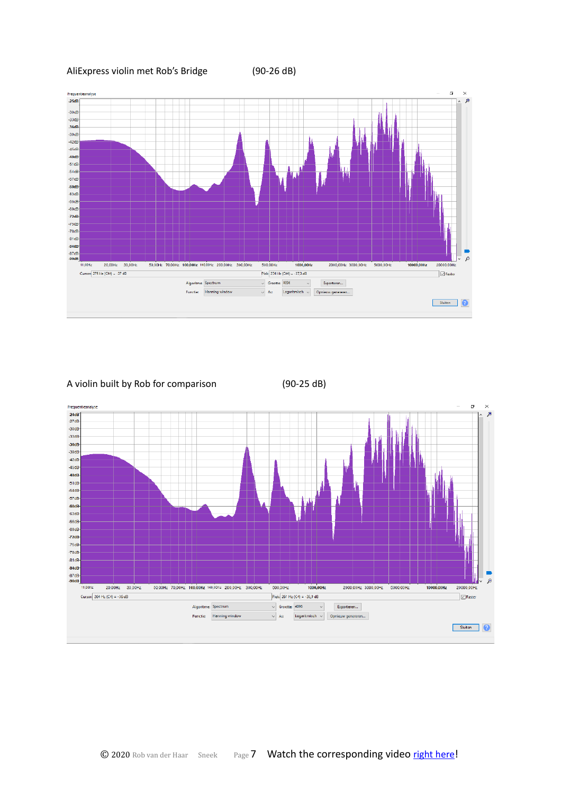AliExpress violin met Rob's Bridge (90-26 dB)



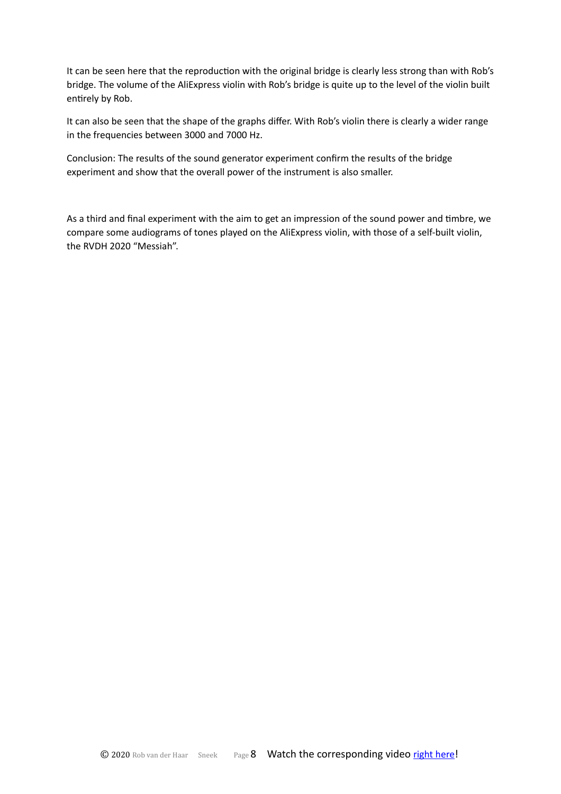It can be seen here that the reproduction with the original bridge is clearly less strong than with Rob's bridge. The volume of the AliExpress violin with Rob's bridge is quite up to the level of the violin built entirely by Rob.

It can also be seen that the shape of the graphs differ. With Rob's violin there is clearly a wider range in the frequencies between 3000 and 7000 Hz.

Conclusion: The results of the sound generator experiment confirm the results of the bridge experiment and show that the overall power of the instrument is also smaller.

As a third and final experiment with the aim to get an impression of the sound power and timbre, we compare some audiograms of tones played on the AliExpress violin, with those of a self-built violin, the RVDH 2020 "Messiah".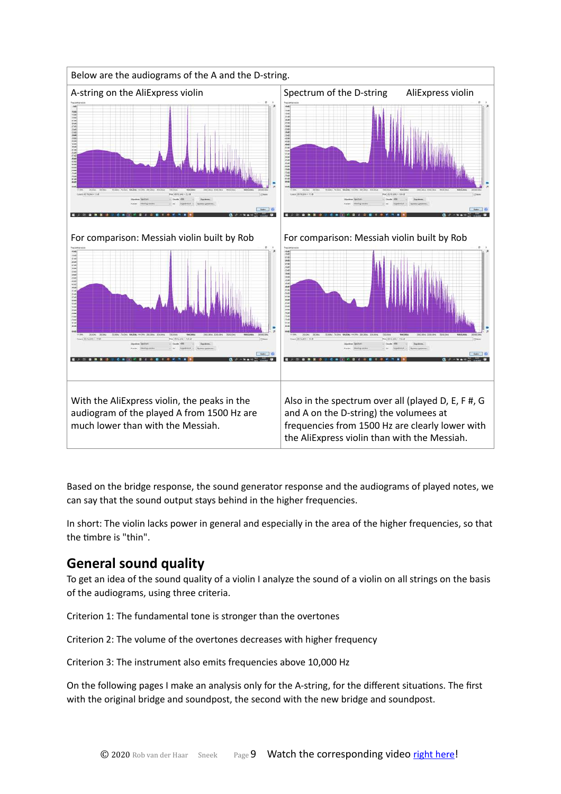

Based on the bridge response, the sound generator response and the audiograms of played notes, we can say that the sound output stays behind in the higher frequencies.

In short: The violin lacks power in general and especially in the area of the higher frequencies, so that the timbre is "thin".

## **General sound quality**

To get an idea of the sound quality of a violin I analyze the sound of a violin on all strings on the basis of the audiograms, using three criteria.

Criterion 1: The fundamental tone is stronger than the overtones

Criterion 2: The volume of the overtones decreases with higher frequency

Criterion 3: The instrument also emits frequencies above 10,000 Hz

On the following pages I make an analysis only for the A-string, for the different situations. The first with the original bridge and soundpost, the second with the new bridge and soundpost.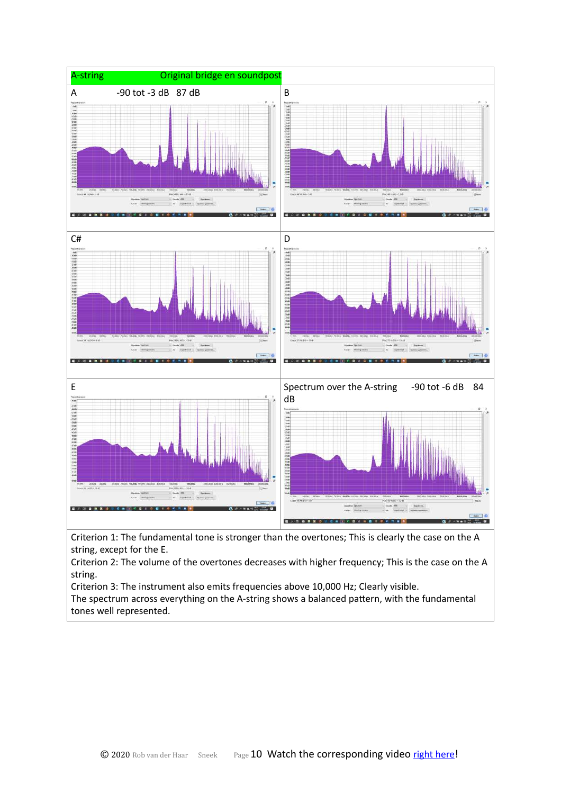

Criterion 1: The fundamental tone is stronger than the overtones; This is clearly the case on the A string, except for the E.

Criterion 2: The volume of the overtones decreases with higher frequency; This is the case on the A string.

Criterion 3: The instrument also emits frequencies above 10,000 Hz; Clearly visible.

The spectrum across everything on the A-string shows a balanced pattern, with the fundamental tones well represented.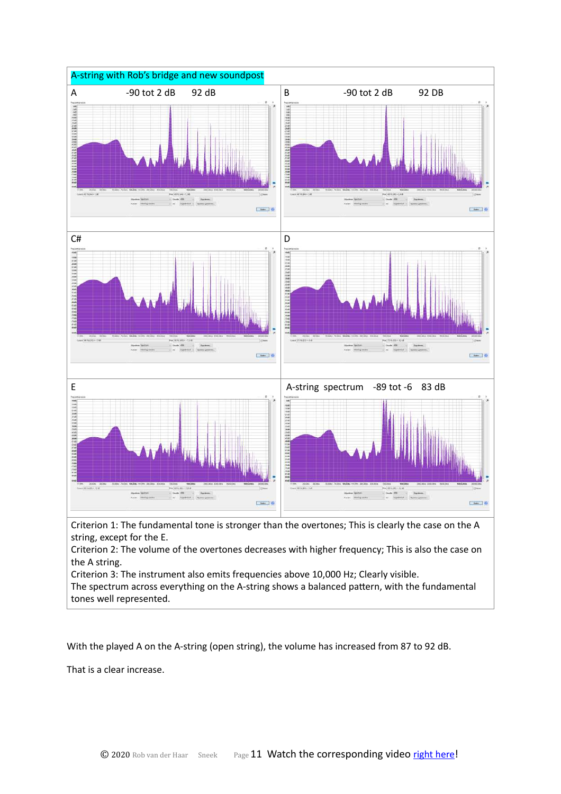

string, except for the E.

Criterion 2: The volume of the overtones decreases with higher frequency; This is also the case on the A string.

Criterion 3: The instrument also emits frequencies above 10,000 Hz; Clearly visible.

The spectrum across everything on the A-string shows a balanced pattern, with the fundamental tones well represented.

With the played A on the A-string (open string), the volume has increased from 87 to 92 dB.

That is a clear increase.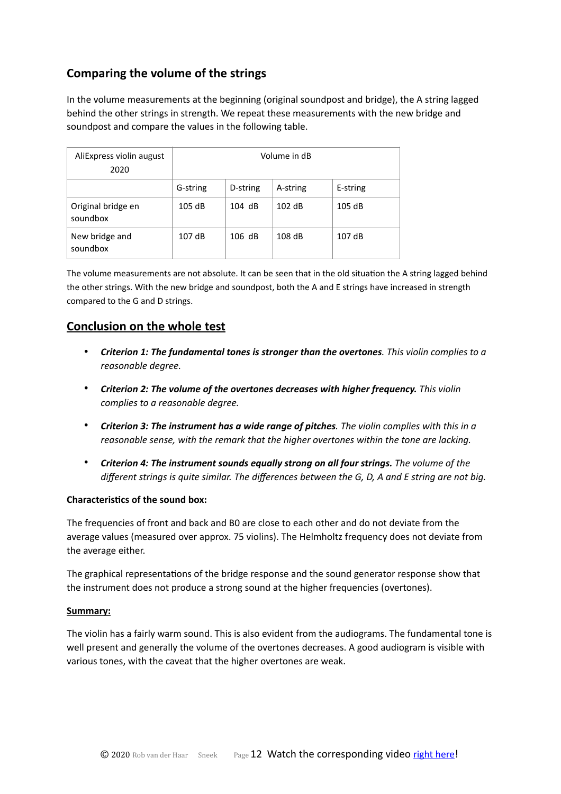## **Comparing the volume of the strings**

In the volume measurements at the beginning (original soundpost and bridge), the A string lagged behind the other strings in strength. We repeat these measurements with the new bridge and soundpost and compare the values in the following table.

| AliExpress violin august<br>2020 | Volume in dB |          |          |          |  |  |
|----------------------------------|--------------|----------|----------|----------|--|--|
|                                  | G-string     | D-string | A-string | E-string |  |  |
| Original bridge en<br>soundbox   | 105 dB       | $104$ dB | 102 dB   | 105 dB   |  |  |
| New bridge and<br>soundbox       | 107dB        | 106 dB   | 108 dB   | 107 dB   |  |  |

The volume measurements are not absolute. It can be seen that in the old situation the A string lagged behind the other strings. With the new bridge and soundpost, both the A and E strings have increased in strength compared to the G and D strings.

### **Conclusion on the whole test**

- *Criterion 1: The fundamental tones is stronger than the overtones. This violin complies to a reasonable degree.*
- *Criterion 2: The volume of the overtones decreases with higher frequency. This violin complies to a reasonable degree.*
- *Criterion 3: The instrument has a wide range of pitches. The violin complies with this in a reasonable sense, with the remark that the higher overtones within the tone are lacking.*
- *Criterion 4: The instrument sounds equally strong on all four strings. The volume of the different strings is quite similar. The differences between the G, D, A and E string are not big.*

#### **Characteristics of the sound box:**

The frequencies of front and back and B0 are close to each other and do not deviate from the average values (measured over approx. 75 violins). The Helmholtz frequency does not deviate from the average either.

The graphical representations of the bridge response and the sound generator response show that the instrument does not produce a strong sound at the higher frequencies (overtones).

#### **Summary:**

The violin has a fairly warm sound. This is also evident from the audiograms. The fundamental tone is well present and generally the volume of the overtones decreases. A good audiogram is visible with various tones, with the caveat that the higher overtones are weak.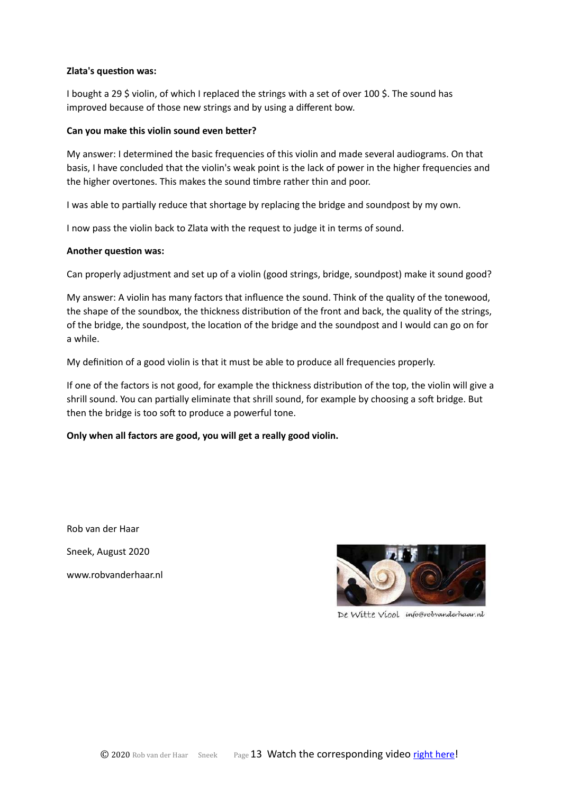#### **Zlata's question was:**

I bought a 29 \$ violin, of which I replaced the strings with a set of over 100 \$. The sound has improved because of those new strings and by using a different bow.

#### Can you make this violin sound even better?

My answer: I determined the basic frequencies of this violin and made several audiograms. On that basis, I have concluded that the violin's weak point is the lack of power in the higher frequencies and the higher overtones. This makes the sound timbre rather thin and poor.

I was able to partially reduce that shortage by replacing the bridge and soundpost by my own.

I now pass the violin back to Zlata with the request to judge it in terms of sound.

#### **Another question was:**

Can properly adjustment and set up of a violin (good strings, bridge, soundpost) make it sound good?

My answer: A violin has many factors that influence the sound. Think of the quality of the tonewood, the shape of the soundbox, the thickness distribution of the front and back, the quality of the strings, of the bridge, the soundpost, the location of the bridge and the soundpost and I would can go on for a while.

My definition of a good violin is that it must be able to produce all frequencies properly.

If one of the factors is not good, for example the thickness distribution of the top, the violin will give a shrill sound. You can partially eliminate that shrill sound, for example by choosing a soft bridge. But then the bridge is too soft to produce a powerful tone.

#### **Only when all factors are good, you will get a really good violin.**

Rob van der Haar Sneek, August 2020 www.robvanderhaar.nl



De Witte Viool info@robvanderhaar.nl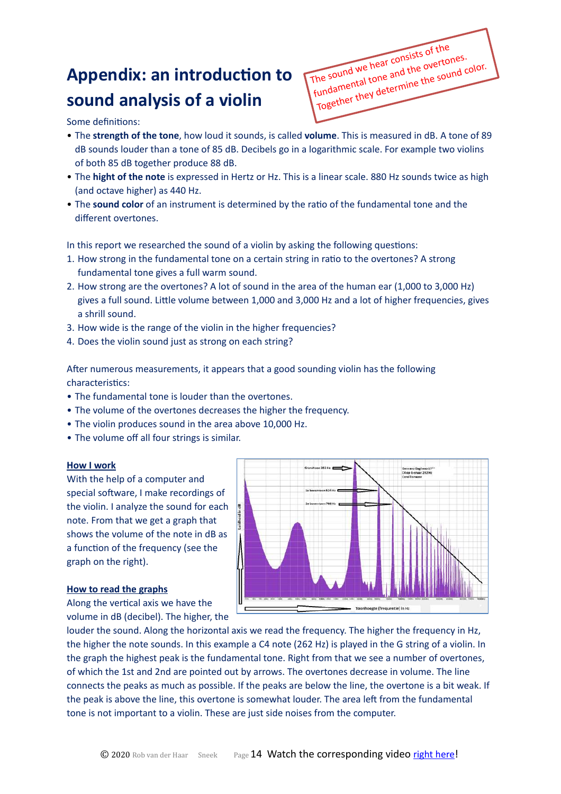# **Appendix: an introduction to sound analysis of a violin**

The sound we hear consists of the fundamental tone and the overtones. Together they determine the sound color.

Some definitions:

- The **strength of the tone**, how loud it sounds, is called **volume**. This is measured in dB. A tone of 89 dB sounds louder than a tone of 85 dB. Decibels go in a logarithmic scale. For example two violins of both 85 dB together produce 88 dB.
- The **hight of the note** is expressed in Hertz or Hz. This is a linear scale. 880 Hz sounds twice as high (and octave higher) as 440 Hz.
- The **sound color** of an instrument is determined by the ratio of the fundamental tone and the different overtones.

In this report we researched the sound of a violin by asking the following questions:

- 1. How strong in the fundamental tone on a certain string in ratio to the overtones? A strong fundamental tone gives a full warm sound.
- 2. How strong are the overtones? A lot of sound in the area of the human ear (1,000 to 3,000 Hz) gives a full sound. Little volume between 1,000 and 3,000 Hz and a lot of higher frequencies, gives a shrill sound.
- 3. How wide is the range of the violin in the higher frequencies?
- 4. Does the violin sound just as strong on each string?

After numerous measurements, it appears that a good sounding violin has the following characteristics:

- The fundamental tone is louder than the overtones.
- The volume of the overtones decreases the higher the frequency.
- The violin produces sound in the area above 10,000 Hz.
- The volume off all four strings is similar.

#### **How I work**

With the help of a computer and special software, I make recordings of the violin. I analyze the sound for each note. From that we get a graph that shows the volume of the note in dB as a function of the frequency (see the graph on the right).

#### **How to read the graphs**

Along the vertical axis we have the volume in dB (decibel). The higher, the



louder the sound. Along the horizontal axis we read the frequency. The higher the frequency in Hz, the higher the note sounds. In this example a C4 note (262 Hz) is played in the G string of a violin. In the graph the highest peak is the fundamental tone. Right from that we see a number of overtones, of which the 1st and 2nd are pointed out by arrows. The overtones decrease in volume. The line connects the peaks as much as possible. If the peaks are below the line, the overtone is a bit weak. If the peak is above the line, this overtone is somewhat louder. The area left from the fundamental tone is not important to a violin. These are just side noises from the computer.